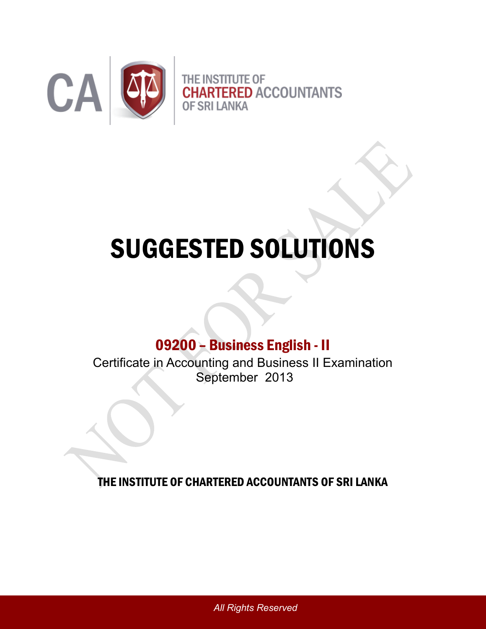

# SUGGESTED SOLUTIONS

# 09200 – Business English - II

Certificate in Accounting and Business II Examination September 2013

THE INSTITUTE OF CHARTERED ACCOUNTANTS OF SRI LANKA

*All Rights Reserved*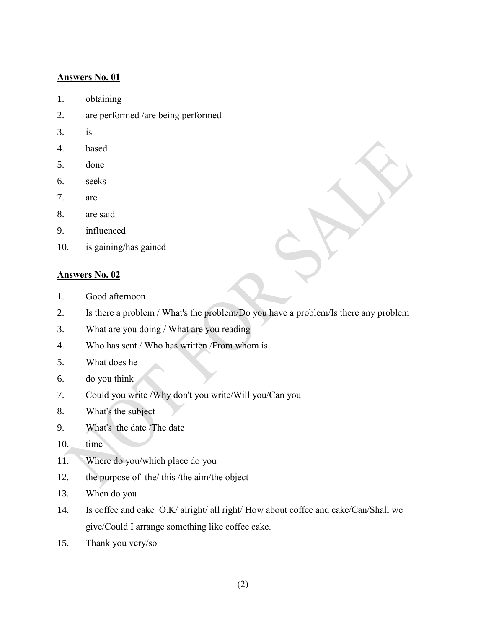#### **Answers No. 01**

- 1. obtaining
- 2. are performed /are being performed
- 3. is
- 4. based
- 5. done
- 6. seeks
- 7. are
- 8. are said
- 9. influenced
- 10. is gaining/has gained

# **Answers No. 02**

- 1. Good afternoon
- 2. Is there a problem / What's the problem/Do you have a problem/Is there any problem
- 3. What are you doing / What are you reading
- 4. Who has sent / Who has written /From whom is
- 5. What does he
- 6. do you think
- 7. Could you write /Why don't you write/Will you/Can you
- 8. What's the subject
- 9. What's the date /The date

# 10. time

- 11. Where do you/which place do you
- 12. the purpose of the/ this /the aim/the object
- 13. When do you
- 14. Is coffee and cake O.K/ alright/ all right/ How about coffee and cake/Can/Shall we give/Could I arrange something like coffee cake.
- 15. Thank you very/so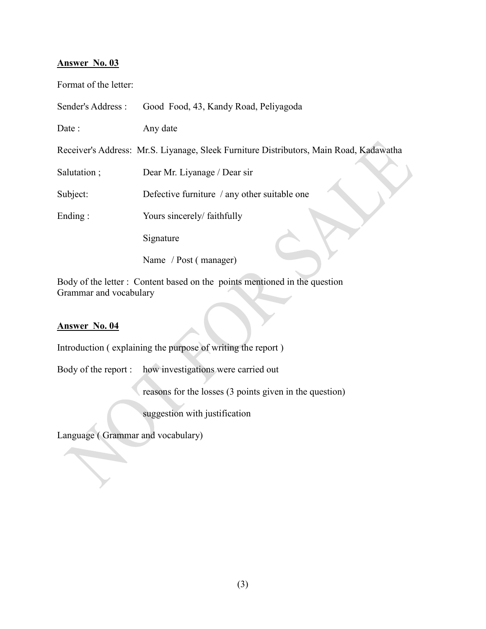### **Answer No. 03**

Format of the letter:

| Sender's Address : | Good Food, 43, Kandy Road, Peliyagoda                                                  |
|--------------------|----------------------------------------------------------------------------------------|
| Date:              | Any date                                                                               |
|                    | Receiver's Address: Mr.S. Liyanage, Sleek Furniture Distributors, Main Road, Kadawatha |
| Salutation ;       | Dear Mr. Liyanage / Dear sir                                                           |
| Subject:           | Defective furniture / any other suitable one                                           |
| Ending:            | Yours sincerely/ faithfully                                                            |
|                    | Signature                                                                              |
|                    | Name / Post (manager)                                                                  |

 $\blacktriangleright$ 

Body of the letter : Content based on the points mentioned in the question Grammar and vocabulary

#### **Answer No. 04**

Introduction ( explaining the purpose of writing the report )

Body of the report : how investigations were carried out

reasons for the losses (3 points given in the question)

suggestion with justification

Language ( Grammar and vocabulary)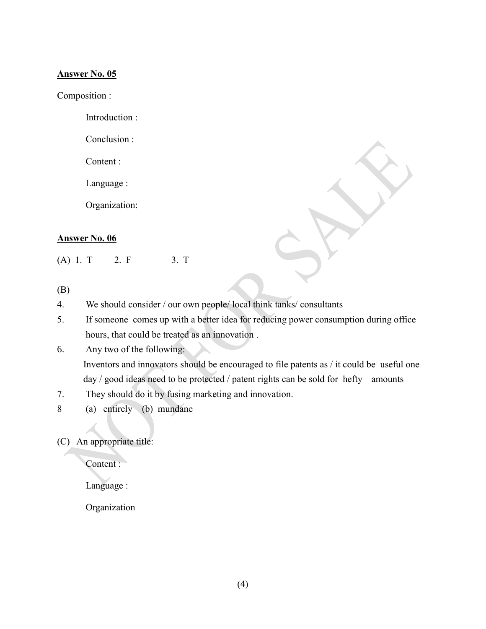#### **Answer No. 05**

Composition :

Introduction :

Conclusion :

Content :

Language :

Organization:

#### **Answer No. 06**

(A) 1. T 2. F 3. T

- (B)
- 4. We should consider / our own people/ local think tanks/ consultants
- 5. If someone comes up with a better idea for reducing power consumption during office hours, that could be treated as an innovation .

6. Any two of the following:

Inventors and innovators should be encouraged to file patents as / it could be useful one day / good ideas need to be protected / patent rights can be sold for hefty amounts

- 7. They should do it by fusing marketing and innovation.
- 8 (a) entirely (b) mundane
- (C) An appropriate title:

Content :

Language :

Organization